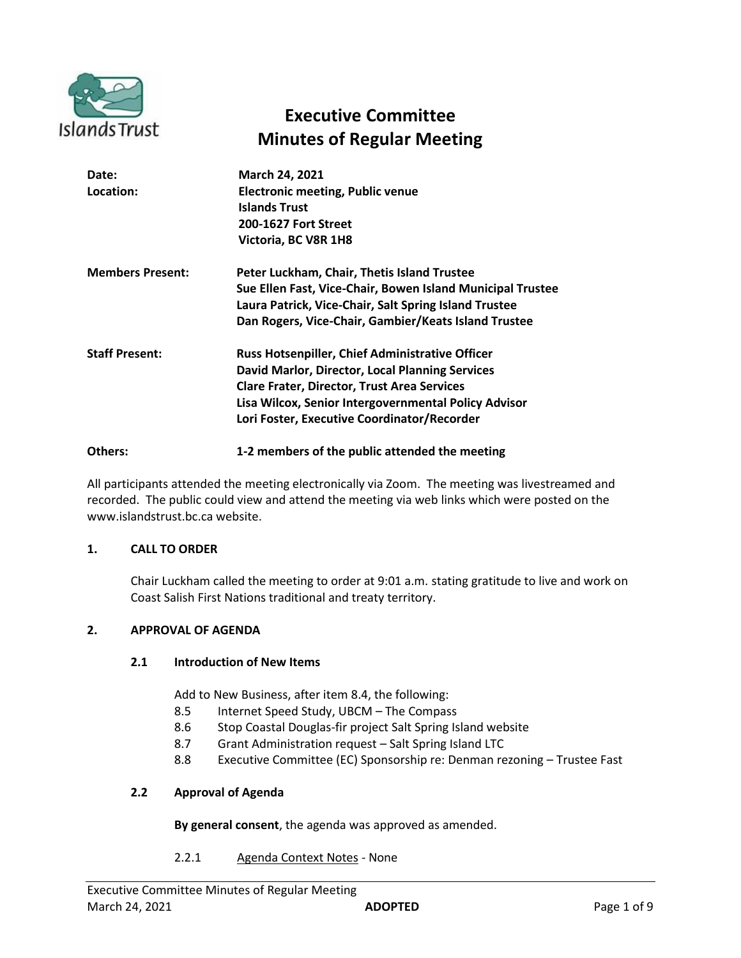

# **Executive Committee Minutes of Regular Meeting**

| Date:<br>Location:      | <b>March 24, 2021</b><br><b>Electronic meeting, Public venue</b><br><b>Islands Trust</b><br><b>200-1627 Fort Street</b><br>Victoria, BC V8R 1H8                                                                                                                        |
|-------------------------|------------------------------------------------------------------------------------------------------------------------------------------------------------------------------------------------------------------------------------------------------------------------|
| <b>Members Present:</b> | Peter Luckham, Chair, Thetis Island Trustee<br>Sue Ellen Fast, Vice-Chair, Bowen Island Municipal Trustee<br>Laura Patrick, Vice-Chair, Salt Spring Island Trustee<br>Dan Rogers, Vice-Chair, Gambier/Keats Island Trustee                                             |
| <b>Staff Present:</b>   | <b>Russ Hotsenpiller, Chief Administrative Officer</b><br>David Marlor, Director, Local Planning Services<br><b>Clare Frater, Director, Trust Area Services</b><br>Lisa Wilcox, Senior Intergovernmental Policy Advisor<br>Lori Foster, Executive Coordinator/Recorder |

**Others: 1-2 members of the public attended the meeting**

All participants attended the meeting electronically via Zoom. The meeting was livestreamed and recorded. The public could view and attend the meeting via web links which were posted on the www.islandstrust.bc.ca website.

# **1. CALL TO ORDER**

Chair Luckham called the meeting to order at 9:01 a.m. stating gratitude to live and work on Coast Salish First Nations traditional and treaty territory.

#### **2. APPROVAL OF AGENDA**

#### **2.1 Introduction of New Items**

Add to New Business, after item 8.4, the following:

- 8.5 Internet Speed Study, UBCM The Compass
- 8.6 Stop Coastal Douglas-fir project Salt Spring Island website
- 8.7 Grant Administration request Salt Spring Island LTC
- 8.8 Executive Committee (EC) Sponsorship re: Denman rezoning Trustee Fast

#### **2.2 Approval of Agenda**

**By general consent**, the agenda was approved as amended.

2.2.1 Agenda Context Notes - None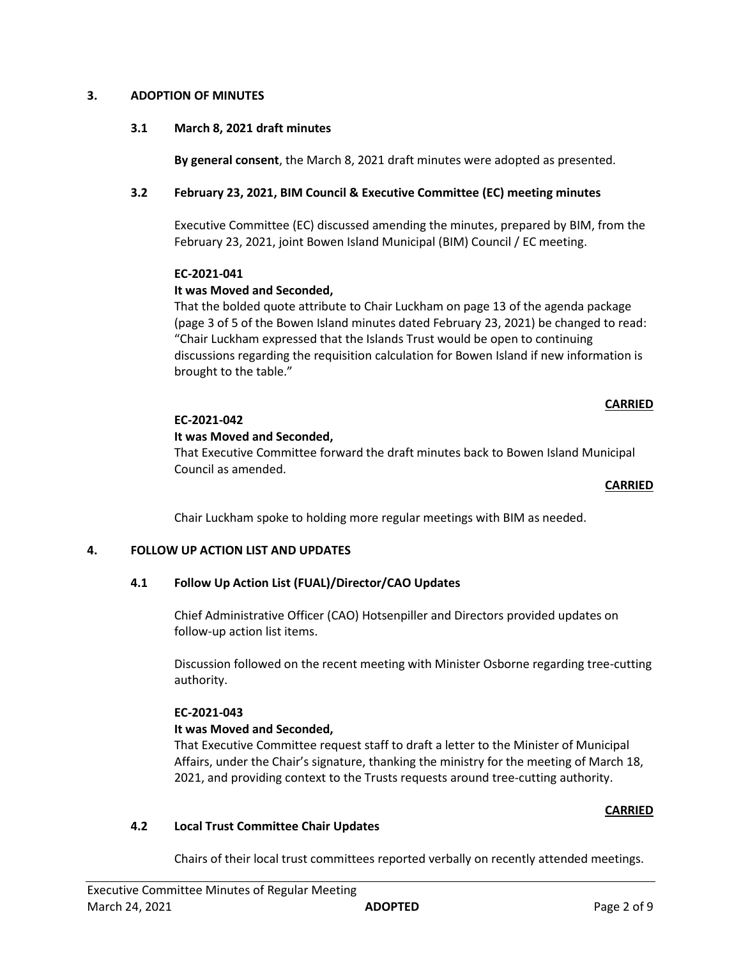### **3. ADOPTION OF MINUTES**

## **3.1 March 8, 2021 draft minutes**

**By general consent**, the March 8, 2021 draft minutes were adopted as presented.

# **3.2 February 23, 2021, BIM Council & Executive Committee (EC) meeting minutes**

Executive Committee (EC) discussed amending the minutes, prepared by BIM, from the February 23, 2021, joint Bowen Island Municipal (BIM) Council / EC meeting.

#### **EC-2021-041**

## **It was Moved and Seconded,**

That the bolded quote attribute to Chair Luckham on page 13 of the agenda package (page 3 of 5 of the Bowen Island minutes dated February 23, 2021) be changed to read: "Chair Luckham expressed that the Islands Trust would be open to continuing discussions regarding the requisition calculation for Bowen Island if new information is brought to the table."

## **CARRIED**

## **EC-2021-042**

## **It was Moved and Seconded,**

That Executive Committee forward the draft minutes back to Bowen Island Municipal Council as amended.

#### **CARRIED**

Chair Luckham spoke to holding more regular meetings with BIM as needed.

#### **4. FOLLOW UP ACTION LIST AND UPDATES**

# **4.1 Follow Up Action List (FUAL)/Director/CAO Updates**

Chief Administrative Officer (CAO) Hotsenpiller and Directors provided updates on follow-up action list items.

Discussion followed on the recent meeting with Minister Osborne regarding tree-cutting authority.

#### **EC-2021-043**

#### **It was Moved and Seconded,**

That Executive Committee request staff to draft a letter to the Minister of Municipal Affairs, under the Chair's signature, thanking the ministry for the meeting of March 18, 2021, and providing context to the Trusts requests around tree-cutting authority.

#### **CARRIED**

#### **4.2 Local Trust Committee Chair Updates**

Chairs of their local trust committees reported verbally on recently attended meetings.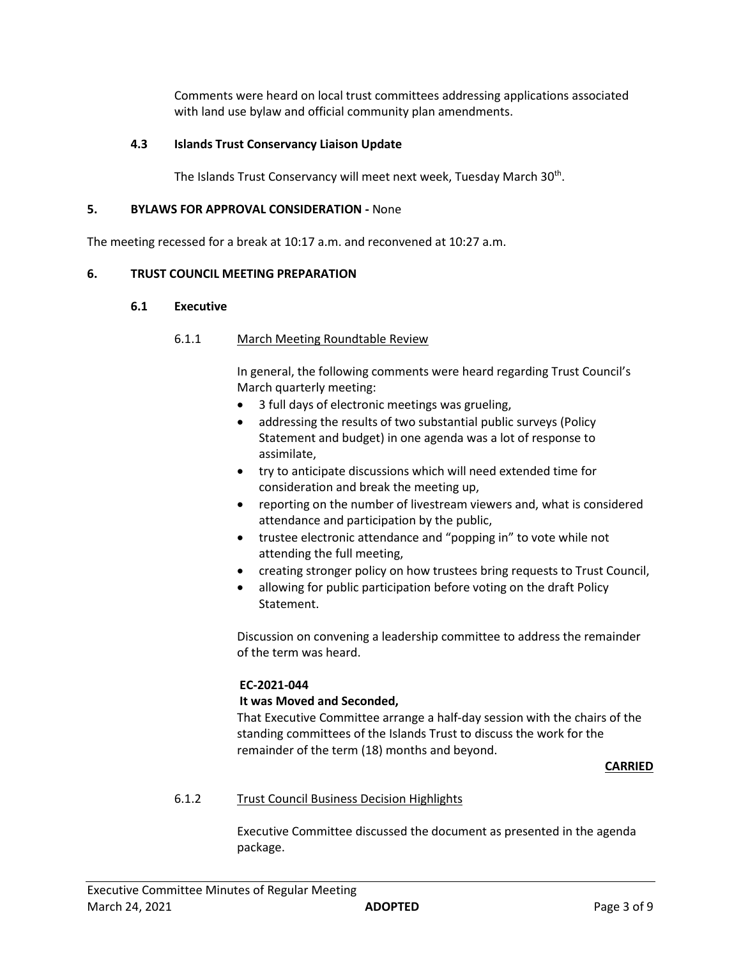Comments were heard on local trust committees addressing applications associated with land use bylaw and official community plan amendments.

## **4.3 Islands Trust Conservancy Liaison Update**

The Islands Trust Conservancy will meet next week, Tuesday March 30<sup>th</sup>.

## **5. BYLAWS FOR APPROVAL CONSIDERATION -** None

The meeting recessed for a break at 10:17 a.m. and reconvened at 10:27 a.m.

## **6. TRUST COUNCIL MEETING PREPARATION**

#### **6.1 Executive**

## 6.1.1 March Meeting Roundtable Review

In general, the following comments were heard regarding Trust Council's March quarterly meeting:

- 3 full days of electronic meetings was grueling,
- addressing the results of two substantial public surveys (Policy Statement and budget) in one agenda was a lot of response to assimilate,
- try to anticipate discussions which will need extended time for consideration and break the meeting up,
- reporting on the number of livestream viewers and, what is considered attendance and participation by the public,
- trustee electronic attendance and "popping in" to vote while not attending the full meeting,
- creating stronger policy on how trustees bring requests to Trust Council,
- allowing for public participation before voting on the draft Policy Statement.

Discussion on convening a leadership committee to address the remainder of the term was heard.

# **EC-2021-044**

#### **It was Moved and Seconded,**

That Executive Committee arrange a half-day session with the chairs of the standing committees of the Islands Trust to discuss the work for the remainder of the term (18) months and beyond.

#### **CARRIED**

# 6.1.2 Trust Council Business Decision Highlights

Executive Committee discussed the document as presented in the agenda package.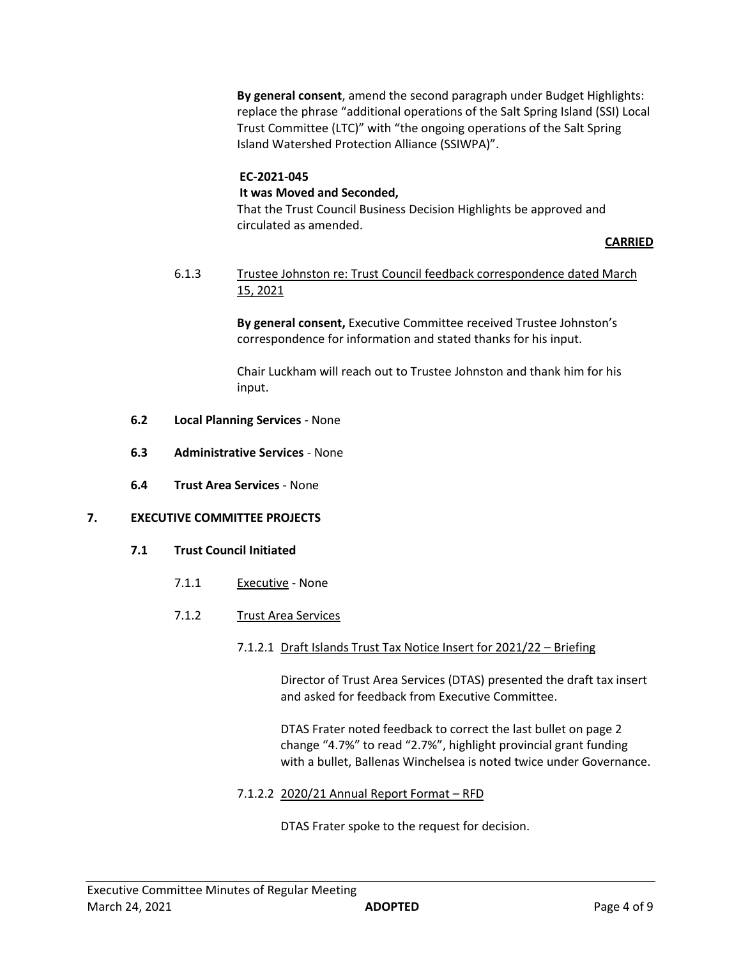**By general consent**, amend the second paragraph under Budget Highlights: replace the phrase "additional operations of the Salt Spring Island (SSI) Local Trust Committee (LTC)" with "the ongoing operations of the Salt Spring Island Watershed Protection Alliance (SSIWPA)".

# **EC-2021-045**

# **It was Moved and Seconded,**

That the Trust Council Business Decision Highlights be approved and circulated as amended.

## **CARRIED**

# 6.1.3 Trustee Johnston re: Trust Council feedback correspondence dated March 15, 2021

**By general consent,** Executive Committee received Trustee Johnston's correspondence for information and stated thanks for his input.

Chair Luckham will reach out to Trustee Johnston and thank him for his input.

- **6.2 Local Planning Services** None
- **6.3 Administrative Services** None
- **6.4 Trust Area Services** None

#### **7. EXECUTIVE COMMITTEE PROJECTS**

- **7.1 Trust Council Initiated**
	- 7.1.1 Executive None
	- 7.1.2 Trust Area Services
		- 7.1.2.1 Draft Islands Trust Tax Notice Insert for 2021/22 Briefing

Director of Trust Area Services (DTAS) presented the draft tax insert and asked for feedback from Executive Committee.

DTAS Frater noted feedback to correct the last bullet on page 2 change "4.7%" to read "2.7%", highlight provincial grant funding with a bullet, Ballenas Winchelsea is noted twice under Governance.

7.1.2.2 2020/21 Annual Report Format – RFD

DTAS Frater spoke to the request for decision.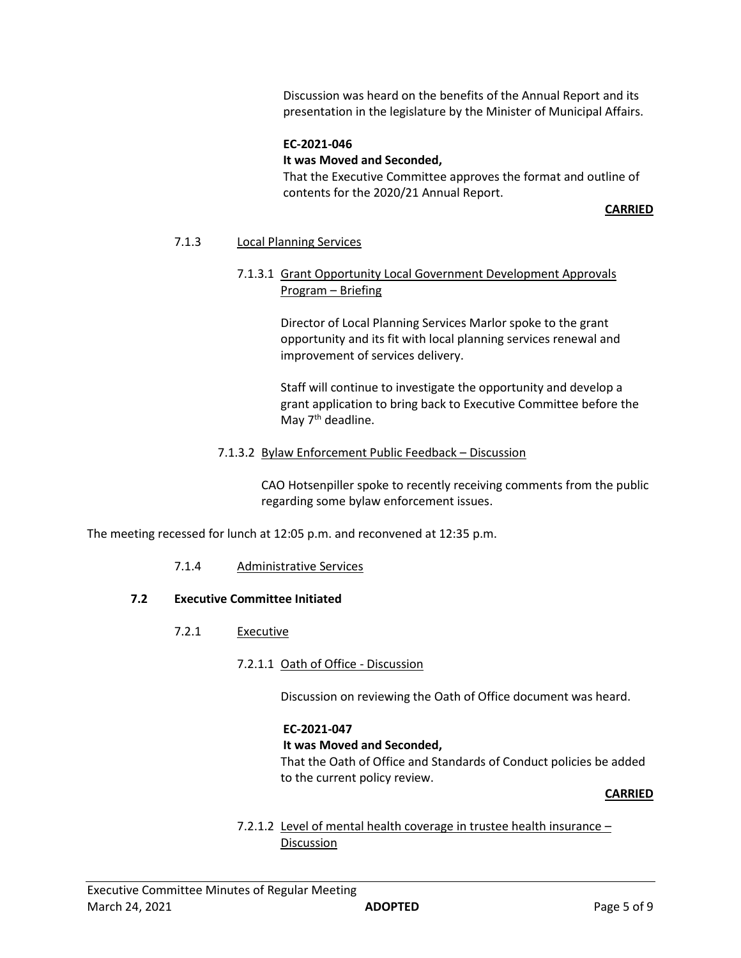Discussion was heard on the benefits of the Annual Report and its presentation in the legislature by the Minister of Municipal Affairs.

### **EC-2021-046**

#### **It was Moved and Seconded,**

That the Executive Committee approves the format and outline of contents for the 2020/21 Annual Report.

**CARRIED**

#### 7.1.3 Local Planning Services

# 7.1.3.1 Grant Opportunity Local Government Development Approvals Program – Briefing

Director of Local Planning Services Marlor spoke to the grant opportunity and its fit with local planning services renewal and improvement of services delivery.

Staff will continue to investigate the opportunity and develop a grant application to bring back to Executive Committee before the May 7<sup>th</sup> deadline.

## 7.1.3.2 Bylaw Enforcement Public Feedback – Discussion

CAO Hotsenpiller spoke to recently receiving comments from the public regarding some bylaw enforcement issues.

The meeting recessed for lunch at 12:05 p.m. and reconvened at 12:35 p.m.

#### 7.1.4 Administrative Services

#### **7.2 Executive Committee Initiated**

- 7.2.1 Executive
	- 7.2.1.1 Oath of Office Discussion

Discussion on reviewing the Oath of Office document was heard.

#### **EC-2021-047**

**It was Moved and Seconded,**

That the Oath of Office and Standards of Conduct policies be added to the current policy review.

#### **CARRIED**

# 7.2.1.2 Level of mental health coverage in trustee health insurance – **Discussion**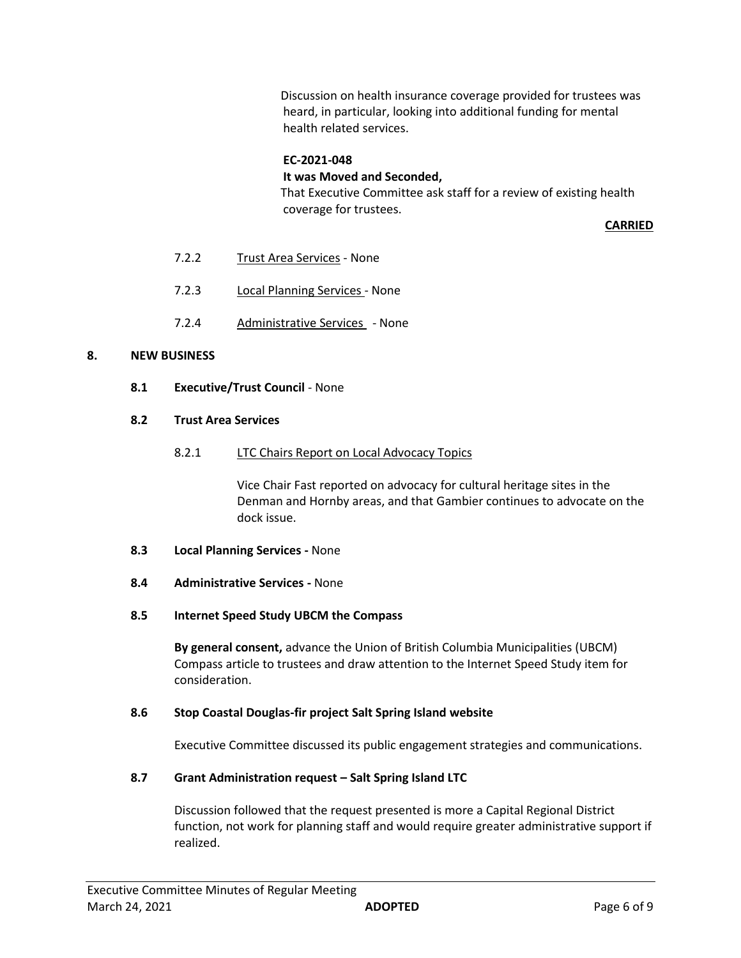Discussion on health insurance coverage provided for trustees was heard, in particular, looking into additional funding for mental health related services.

#### **EC-2021-048**

**It was Moved and Seconded,**

That Executive Committee ask staff for a review of existing health coverage for trustees.

**CARRIED**

- 7.2.2 Trust Area Services None
- 7.2.3 Local Planning Services None
- 7.2.4 Administrative Services None

#### **8. NEW BUSINESS**

**8.1 Executive/Trust Council** - None

#### **8.2 Trust Area Services**

8.2.1 LTC Chairs Report on Local Advocacy Topics

Vice Chair Fast reported on advocacy for cultural heritage sites in the Denman and Hornby areas, and that Gambier continues to advocate on the dock issue.

- **8.3 Local Planning Services -** None
- **8.4 Administrative Services -** None
- **8.5 Internet Speed Study UBCM the Compass**

**By general consent,** advance the Union of British Columbia Municipalities (UBCM) Compass article to trustees and draw attention to the Internet Speed Study item for consideration.

#### **8.6 Stop Coastal Douglas-fir project Salt Spring Island website**

Executive Committee discussed its public engagement strategies and communications.

# **8.7 Grant Administration request – Salt Spring Island LTC**

Discussion followed that the request presented is more a Capital Regional District function, not work for planning staff and would require greater administrative support if realized.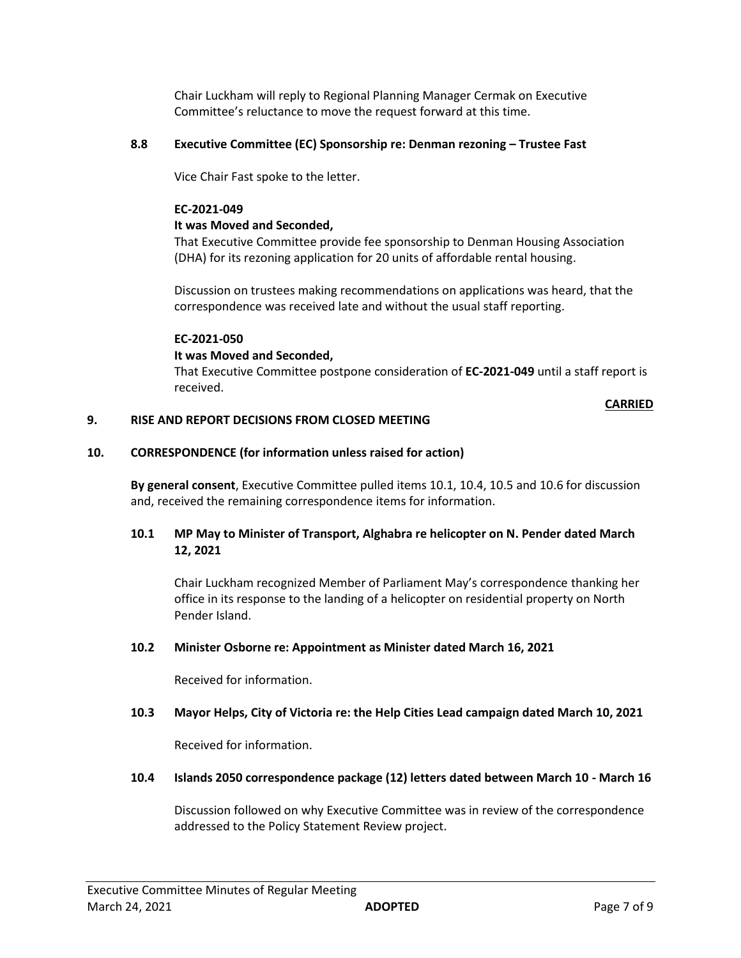Chair Luckham will reply to Regional Planning Manager Cermak on Executive Committee's reluctance to move the request forward at this time.

## **8.8 Executive Committee (EC) Sponsorship re: Denman rezoning – Trustee Fast**

Vice Chair Fast spoke to the letter.

### **EC-2021-049**

## **It was Moved and Seconded,**

That Executive Committee provide fee sponsorship to Denman Housing Association (DHA) for its rezoning application for 20 units of affordable rental housing.

Discussion on trustees making recommendations on applications was heard, that the correspondence was received late and without the usual staff reporting.

## **EC-2021-050**

## **It was Moved and Seconded,**

That Executive Committee postpone consideration of **EC-2021-049** until a staff report is received.

#### **CARRIED**

## **9. RISE AND REPORT DECISIONS FROM CLOSED MEETING**

# **10. CORRESPONDENCE (for information unless raised for action)**

**By general consent**, Executive Committee pulled items 10.1, 10.4, 10.5 and 10.6 for discussion and, received the remaining correspondence items for information.

# **10.1 MP May to Minister of Transport, Alghabra re helicopter on N. Pender dated March 12, 2021**

Chair Luckham recognized Member of Parliament May's correspondence thanking her office in its response to the landing of a helicopter on residential property on North Pender Island.

#### **10.2 Minister Osborne re: Appointment as Minister dated March 16, 2021**

Received for information.

# **10.3 Mayor Helps, City of Victoria re: the Help Cities Lead campaign dated March 10, 2021**

Received for information.

### **10.4 Islands 2050 correspondence package (12) letters dated between March 10 - March 16**

Discussion followed on why Executive Committee was in review of the correspondence addressed to the Policy Statement Review project.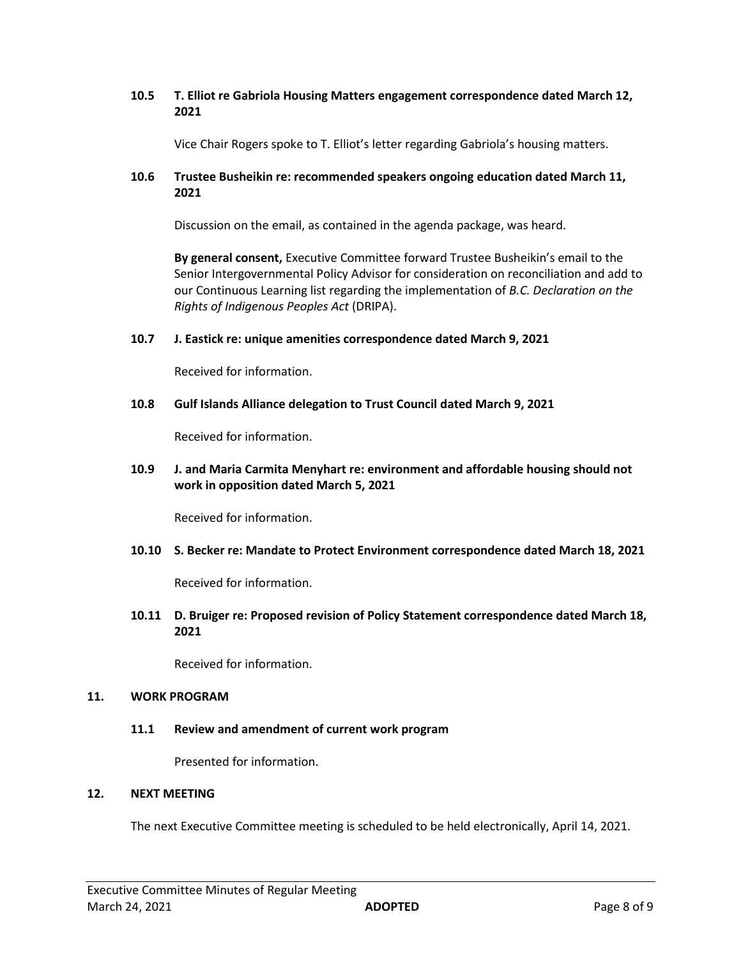# **10.5 T. Elliot re Gabriola Housing Matters engagement correspondence dated March 12, 2021**

Vice Chair Rogers spoke to T. Elliot's letter regarding Gabriola's housing matters.

# **10.6 Trustee Busheikin re: recommended speakers ongoing education dated March 11, 2021**

Discussion on the email, as contained in the agenda package, was heard.

**By general consent,** Executive Committee forward Trustee Busheikin's email to the Senior Intergovernmental Policy Advisor for consideration on reconciliation and add to our Continuous Learning list regarding the implementation of *B.C. Declaration on the Rights of Indigenous Peoples Act* (DRIPA).

## **10.7 J. Eastick re: unique amenities correspondence dated March 9, 2021**

Received for information.

#### **10.8 Gulf Islands Alliance delegation to Trust Council dated March 9, 2021**

Received for information.

# **10.9 J. and Maria Carmita Menyhart re: environment and affordable housing should not work in opposition dated March 5, 2021**

Received for information.

#### **10.10 S. Becker re: Mandate to Protect Environment correspondence dated March 18, 2021**

Received for information.

**10.11 D. Bruiger re: Proposed revision of Policy Statement correspondence dated March 18, 2021**

Received for information.

#### **11. WORK PROGRAM**

#### **11.1 Review and amendment of current work program**

Presented for information.

# **12. NEXT MEETING**

The next Executive Committee meeting is scheduled to be held electronically, April 14, 2021.